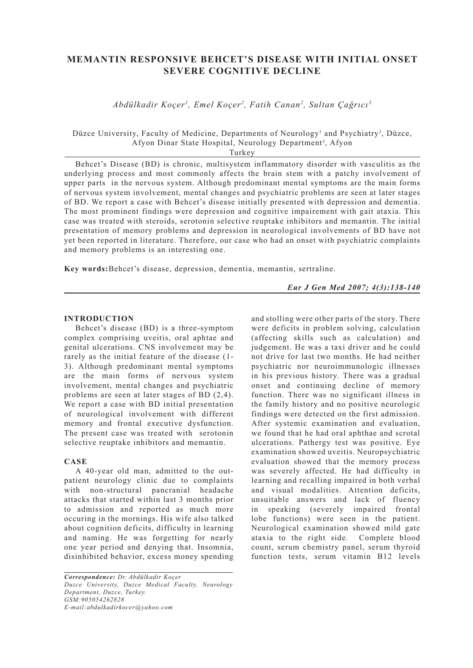# **MEMANTIN RESPONSIVE BEHCET'S DISEASE WITH INITIAL ONSET SEVERE COGNITIVE DECLINE**

*Abdülkadir Koçer1 , Emel Koçer2 , Fatih Canan2 , Sultan Çağrıcı3*

Düzce University, Faculty of Medicine, Departments of Neurology<sup>1</sup> and Psychiatry<sup>2</sup>, Düzce, Afyon Dinar State Hospital, Neurology Department<sup>3</sup>, Afyon

Turkey

Behcet's Disease (BD) is chronic, multisystem inflammatory disorder with vasculitis as the underlying process and most commonly affects the brain stem with a patchy involvement of upper parts in the nervous system. Although predominant mental symptoms are the main forms of nervous system involvement, mental changes and psychiatric problems are seen at later stages of BD. We report a case with Behcet's disease initially presented with depression and dementia. The most prominent findings were depression and cognitive impairement with gait ataxia. This case was treated with steroids, serotonin selective reuptake inhibitors and memantin. The initial presentation of memory problems and depression in neurological involvements of BD have not yet been reported in literature. Therefore, our case who had an onset with psychiatric complaints and memory problems is an interesting one.

**Key words:**Behcet's disease, depression, dementia, memantin, sertraline.

*Eur J Gen Med 2007; 4(3):138-140*

## **INTRODUCTION**

Behcet's disease (BD) is a three-symptom complex comprising uveitis, oral aphtae and genital ulcerations. CNS involvement may be rarely as the initial feature of the disease (1- 3). Although predominant mental symptoms are the main forms of nervous system involvement, mental changes and psychiatric problems are seen at later stages of BD (2,4). We report a case with BD initial presentation of neurological involvement with different memory and frontal executive dysfunction. The present case was treated with serotonin selective reuptake inhibitors and memantin.

### **CASE**

A 40-year old man, admitted to the outpatient neurology clinic due to complaints with non-structural pancranial headache attacks that started within last 3 months prior to admission and reported as much more occuring in the mornings. His wife also talked about cognition deficits, difficulty in learning and naming. He was forgetting for nearly one year period and denying that. Insomnia, disinhibited behavior, excess money spending and stolling were other parts of the story. There were deficits in problem solving, calculation (affecting skills such as calculation) and judgement. He was a taxi driver and he could not drive for last two months. He had neither psychiatric nor neuroimmunologic illnesses in his previous history. There was a gradual onset and continuing decline of memory function. There was no significant illness in the family history and no positive neurologic findings were detected on the first admission. After systemic examination and evaluation, we found that he had oral aphthae and scrotal ulcerations. Pathergy test was positive. Eye examination showed uveitis. Neuropsychiatric evaluation showed that the memory process was severely affected. He had difficulty in learning and recalling impaired in both verbal and visual modalities. Attention deficits, unsuitable answers and lack of fluency in speaking (severely impaired frontal lobe functions) were seen in the patient. Neurological examination showed mild gate ataxia to the right side. Complete blood count, serum chemistry panel, serum thyroid function tests, serum vitamin B12 levels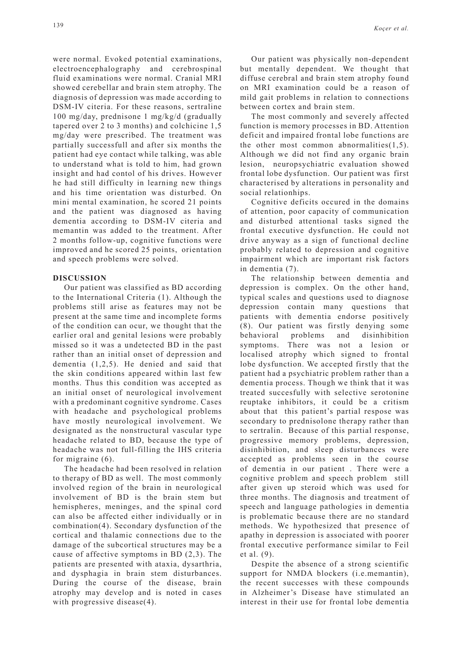were normal. Evoked potential examinations, electroencephalography and cerebrospinal fluid examinations were normal. Cranial MRI showed cerebellar and brain stem atrophy. The diagnosis of depression was made according to DSM-IV citeria. For these reasons, sertraline 100 mg/day, prednisone 1 mg/kg/d (gradually tapered over 2 to 3 months) and colchicine 1,5 mg/day were prescribed. The treatment was partially successfull and after six months the patient had eye contact while talking, was able to understand what is told to him, had grown insight and had contol of his drives. However he had still difficulty in learning new things and his time orientation was disturbed. On mini mental examination, he scored 21 points and the patient was diagnosed as having dementia according to DSM-IV citeria and memantin was added to the treatment. After 2 months follow-up, cognitive functions were improved and he scored 25 points, orientation and speech problems were solved.

#### **DISCUSSION**

Our patient was classified as BD according to the International Criteria (1). Although the problems still arise as features may not be present at the same time and incomplete forms of the condition can ocur, we thought that the earlier oral and genital lesions were probably missed so it was a undetected BD in the past rather than an initial onset of depression and dementia (1,2,5). He denied and said that the skin conditions appeared within last few months. Thus this condition was accepted as an initial onset of neurological involvement with a predominant cognitive syndrome. Cases with headache and psychological problems have mostly neurological involvement. We designated as the nonstructural vascular type headache related to BD, because the type of headache was not full-filling the IHS criteria for migraine (6).

The headache had been resolved in relation to therapy of BD as well. The most commonly involved region of the brain in neurological involvement of BD is the brain stem but hemispheres, meninges, and the spinal cord can also be affected either individually or in combination(4). Secondary dysfunction of the cortical and thalamic connections due to the damage of the subcortical structures may be a cause of affective symptoms in BD (2,3). The patients are presented with ataxia, dysarthria, and dysphagia in brain stem disturbances. During the course of the disease, brain atrophy may develop and is noted in cases with progressive disease(4).

Our patient was physically non-dependent but mentally dependent. We thought that diffuse cerebral and brain stem atrophy found on MRI examination could be a reason of mild gait problems in relation to connections between cortex and brain stem.

The most commonly and severely affected function is memory processes in BD. Attention deficit and impaired frontal lobe functions are the other most common abnormalities(1,5). Although we did not find any organic brain lesion, neuropsychiatric evaluation showed frontal lobe dysfunction. Our patient was first characterised by alterations in personality and social relationhips.

Cognitive deficits occured in the domains of attention, poor capacity of communication and disturbed attentional tasks signed the frontal executive dysfunction. He could not drive anyway as a sign of functional decline probably related to depression and cognitive impairment which are important risk factors in dementia (7).

The relationship between dementia and depression is complex. On the other hand, typical scales and questions used to diagnose depression contain many questions that patients with dementia endorse positively (8). Our patient was firstly denying some behavioral problems and disinhibition symptoms. There was not a lesion or localised atrophy which signed to frontal lobe dysfunction. We accepted firstly that the patient had a psychiatric problem rather than a dementia process. Though we think that it was treated succesfully with selective serotonine reuptake inhibitors, it could be a critism about that this patient's partial respose was secondary to prednisolone therapy rather than to sertralin. Because of this partial response, progressive memory problems, depression, disinhibition, and sleep disturbances were accepted as problems seen in the course of dementia in our patient . There were a cognitive problem and speech problem still after given up steroid which was used for three months. The diagnosis and treatment of speech and language pathologies in dementia is problematic because there are no standard methods. We hypothesized that presence of apathy in depression is associated with poorer frontal executive performance similar to Feil et al. (9).

Despite the absence of a strong scientific support for NMDA blockers (i.e.memantin), the recent successes with these compounds in Alzheimer's Disease have stimulated an interest in their use for frontal lobe dementia